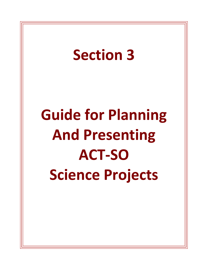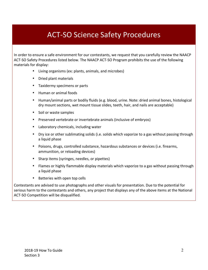# **ACT-SO Science Safety Procedures**

In order to ensure a safe environment for our contestants, we request that you carefully review the NAACP ACT-SO Safety Procedures listed below. The NAACP ACT-SO Program prohibits the use of the following materials for display:

- Living organisms (ex: plants, animals, and microbes)
- Dried plant materials
- Taxidermy specimens or parts
- Human or animal foods
- Human/animal parts or bodily fluids (e.g. blood, urine. Note: dried animal bones, histological dry mount sections, wet mount tissue slides, teeth, hair, and nails are acceptable)
- Soil or waste samples
- Preserved vertebrate or invertebrate animals (inclusive of embryos)
- Laboratory chemicals, including water
- Dry ice or other sublimating solids (i.e. solids which vaporize to a gas without passing through a liquid phase
- Poisons, drugs, controlled substance, hazardous substances or devices (i.e. firearms, ammunition, or reloading devices)
- Sharp items (syringes, needles, or pipettes)
- Flames or highly flammable display materials which vaporize to a gas without passing through a liquid phase
- Batteries with open top cells

Contestants are advised to use photographs and other visuals for presentation. Due to the potential for serious harm to the contestants and others, any project that displays any of the above items at the National ACT-SO Competition will be disqualified.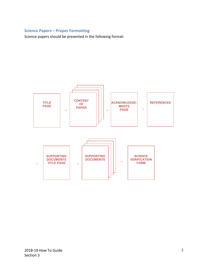## **Science Papers – Proper Formatting**

Science papers should be presented in the following format:

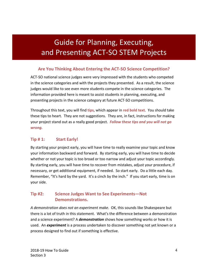# Guide for Planning, Executing, and Presenting ACT-SO STEM Projects

# **Are You Thinking About Entering the ACT-SO Science Competition?**

ACT-SO national science judges were very impressed with the students who competed in the science categories and with the projects they presented. As a result, the science judges would like to see even more students compete in the science categories. The information provided here is meant to assist students in planning, executing, and presenting projects in the science category at future ACT-SO competitions.

Throughout this text, you will find tips, which appear in red bold text. You should take these tips to heart. They are not suggestions. They are, in fact, instructions for making your project stand out as a really good project. *Follow these tips and you will not go wrong.*

# **Tip # 1:** Start Early!

By starting your project early, you will have time to really examine your topic and know your information backward and forward. By starting early, you will have time to decide whether or not your topic is too broad or too narrow and adjust your topic accordingly. By starting early, you will have time to recover from mistakes, adjust your procedure, if necessary, or get additional equipment, if needed. So start early. Do a little each day. Remember, "It's hard by the yard. It's a cinch by the inch." If you start early, time is on your side.

# **Tip #2:** Science Judges Want to See Experiments—Not **Demonstrations.**

A demonstration does not an experiment make. OK, this sounds like Shakespeare but there is a lot of truth in this statement. What's the difference between a demonstration and a science experiment? A *demonstration* shows how something works or how it is used. An **experiment** is a process undertaken to discover something not yet known or a process designed to find out if something is effective.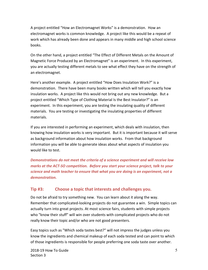A project entitled "How an Electromagnet Works" is a demonstration. How an electromagnet works is common knowledge. A project like this would be a repeat of work which has already been done and appears in many middle and high school science books. 

On the other hand, a project entitled "The Effect of Different Metals on the Amount of Magnetic Force Produced by an Electromagnet" is an experiment. In this experiment, you are actually testing different metals to see what effect they have on the strength of an electromagnet.

Here's another example. A project entitled "How Does Insulation Work?" is a demonstration. There have been many books written which will tell you exactly how insulation works. A project like this would not bring out any new knowledge. But a project entitled "Which Type of Clothing Material Is the Best Insulator?" is an experiment. In this experiment, you are testing the insulating quality of different materials. You are testing or investigating the insulating properties of different materials. 

If you are interested in performing an experiment, which deals with insulation, then knowing how insulation works is very important. But it is important because it will serve as background information about how insulation works. From that background information you will be able to generate ideas about what aspects of insulation you would like to test.

**Demonstrations do not meet the criteria of a science experiment and will receive low** *marks at the ACT-SO competition. Before you start your science project, talk to your science and math teacher to ensure that what you are doing is an experiment, not a demonstration.*

## **Tip #3:** Choose a topic that interests and challenges you.

Do not be afraid to try something new. You can learn about it along the way. Remember that complicated-looking projects do not guarantee a win. Simple topics can actually turn into great projects. At most science fairs, students with simple projects who "know their stuff" will win over students with complicated projects who do not really know their topic and/or who are not good presenters.

Easy topics such as "Which soda tastes best?" will not impress the judges unless you know the ingredients and chemical makeup of each soda tested and can point to which of those ingredients is responsible for people preferring one soda taste over another.

2018-19 How To Guide Section 3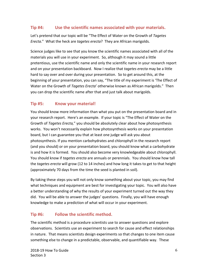# **Tip #4:** Use the scientific names associated with your materials.

Let's pretend that our topic will be "The Effect of Water on the Growth of Tagetes *Erecta.*" What the heck are *tagetes erecta*? They are African marigolds.

Science judges like to see that you know the scientific names associated with all of the materials you will use in your experiment. So, although it may sound a little pretentious, use the scientific name and only the scientific name in your research report and on your presentation backboard. Now I realize that *tagetes erecta* may be a little hard to say over and over during your presentation. So to get around this, at the beginning of your presentation, you can say, "The title of my experiment is 'The Effect of Water on the Growth of *Tagetes Erecta'* otherwise known as African marigolds." Then you can drop the scientific name after that and just talk about marigolds.

# **Tip #5: Know your material!**

You should know more information than what you put on the presentation board and in your research report. Here's an example. If your topic is "The Effect of Water on the Growth of *Tagetes Erecta*," you should be absolutely clear about how photosynthesis works. You won't necessarily explain how photosynthesis works on your presentation board, but I can guarantee you that at least one judge will ask you about photosynthesis. If you mention carbohydrates and chlorophyll in the research report (and you should) or on your presentation board, you should know what a carbohydrate is and how it is formed. You should also become very knowledgeable about chlorophyll. You should know if *tagetes erecta* are annuals or perennials. You should know how tall the *tagetes erecta* will grow (12 to 14 inches) and how long it takes to get to that height (approximately 70 days from the time the seed is planted in soil).

By taking these steps you will not only know something about your topic, you may find what techniques and equipment are best for investigating your topic. You will also have a better understanding of why the results of your experiment turned out the way they did. You will be able to answer the judges' questions. Finally, you will have enough knowledge to make a prediction of what will occur in your experiment.

# **Tip #6:** Follow the scientific method.

The scientific method is a procedure scientists use to answer questions and explore observations. Scientists use an experiment to search for cause and effect relationships in nature. That means scientists design experiments so that changes to one item cause something else to change in a predictable, observable, and quantifiable way. These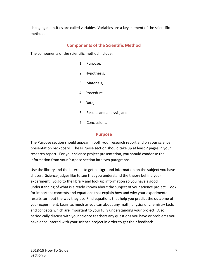changing quantities are called variables. Variables are a key element of the scientific method.

## **Components of the Scientific Method**

The components of the scientific method include:

- 1. Purpose,
- 2. Hypothesis,
- 3. Materials,
- 4. Procedure,
- 5. Data,
- 6. Results and analysis, and
- 7. Conclusions.

### **Purpose**

The Purpose section should appear in both your research report and on your science presentation backboard. The Purpose section should take up at least 2 pages in your research report. For your science project presentation, you should condense the information from your Purpose section into two paragraphs.

Use the library and the Internet to get background information on the subject you have chosen. Science judges like to see that you understand the theory behind your experiment. So go to the library and look up information so you have a good understanding of what is already known about the subject of your science project. Look for important concepts and equations that explain how and why your experimental results turn out the way they do. Find equations that help you predict the outcome of your experiment. Learn as much as you can about any math, physics or chemistry facts and concepts which are important to your fully understanding your project. Also, periodically discuss with your science teachers any questions you have or problems you have encountered with your science project in order to get their feedback.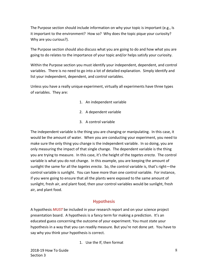The Purpose section should include information on why your topic is important (e.g., Is it important to the environment? How so? Why does the topic pique your curiosity? Why are you curious?).

The Purpose section should also discuss what you are going to do and how what you are going to do relates to the importance of your topic and/or helps satisfy your curiosity.

Within the Purpose section you must identify your independent, dependent, and control variables. There is no need to go into a lot of detailed explanation. Simply identify and list your independent, dependent, and control variables.

Unless you have a really unique experiment, virtually all experiments have three types of variables. They are:

- 1. An independent variable
- 2. A dependent variable
- 3. A control variable

The independent variable is the thing you are changing or manipulating. In this case, it would be the amount of water. When you are conducting your experiment, you need to make sure the only thing you change is the independent variable. In so doing, you are only measuring the impact of that single change. The dependent variable is the thing you are trying to measure. In this case, it's the height of the *tagetes erecta*. The control variable is what you do not change. In this example, you are keeping the amount of sunlight the same for all the *tagetes erecta*. So, the control variable is, that's right—the control variable is sunlight. You can have more than one control variable. For instance, if you were going to ensure that all the plants were exposed to the same amount of sunlight, fresh air, and plant food, then your control variables would be sunlight, fresh air, and plant food.

## **Hypothesis**

A hypothesis **MUST** be included in your research report and on your science project presentation board. A hypothesis is a fancy term for making a prediction. It's an educated guess concerning the outcome of your experiment. You must state your hypothesis in a way that you can readily measure. But you're not done yet. You have to say why you think your hypothesis is correct.

1. Use the If, then format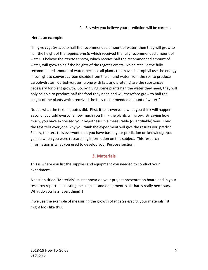2. Say why you believe your prediction will be correct.

### Here's an example:

"If I give *tagetes erecta* half the recommended amount of water, then they will grow to half the height of the *tagetes erecta* which received the fully recommended amount of water. I believe the *tagetes erecta*, which receive half the recommended amount of water, will grow to half the heights of the tagetes erecta, which receive the fully recommended amount of water, because all plants that have chlorophyll use the energy in sunlight to convert carbon dioxide from the air and water from the soil to produce carbohydrates. Carbohydrates (along with fats and proteins) are the substances necessary for plant growth. So, by giving some plants half the water they need, they will only be able to produce half the food they need and will therefore grow to half the height of the plants which received the fully recommended amount of water."

Notice what the text in quotes did. First, it tells everyone what you think will happen. Second, you told everyone how much you think the plants will grow. By saying how much, you have expressed your hypothesis in a measurable (quantifiable) way. Third, the text tells everyone why you think the experiment will give the results you predict. Finally, the text tells everyone that you have based your prediction on knowledge you gained when you were researching information on this subject. This research information is what you used to develop your Purpose section.

# **3. Materials**

This is where you list the supplies and equipment you needed to conduct your experiment.

A section titled "Materials" must appear on your project presentation board and in your research report. Just listing the supplies and equipment is all that is really necessary. What do you list? Everything!!!

If we use the example of measuring the growth of *tagetes erecta*, your materials list might look like this: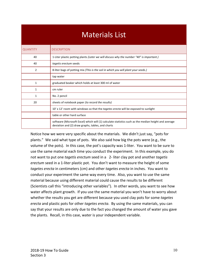# **Materials List**

| <b>QUANTITY</b> | <b>DESCRIPTION</b>                                                                                                                                        |
|-----------------|-----------------------------------------------------------------------------------------------------------------------------------------------------------|
| 40              | 1-Liter plastic potting plants (Later we will discuss why the number "40" is important.)                                                                  |
| 40              | tagetis erectum seeds                                                                                                                                     |
| 2               | 8-liter bags of potting mix (This is the soil in which you will plant your seeds.)                                                                        |
|                 | tap water                                                                                                                                                 |
| $\mathbf{1}$    | graduated beaker which holds at least 300 ml of water                                                                                                     |
| 1               | cm ruler                                                                                                                                                  |
| 1               | No. 2 pencil                                                                                                                                              |
| 20              | sheets of notebook paper (to record the results)                                                                                                          |
|                 | 10' x 12' room with windows so that the <i>tagetes erecta</i> will be exposed to sunlight                                                                 |
|                 | table or other hard surface                                                                                                                               |
|                 | software (Microsoft Excel) which will (1) calculate statistics such as the median height and average<br>deviation and (2) draw graphs, tables, and charts |

Notice how we were very specific about the materials. We didn't just say, "pots for plants." We said what type of pots. We also said how big the pots were (e.g., the volume of the pots). In this case, the pot's capacity was 1-liter. You want to be sure to use the same material each time you conduct the experiment. In this example, you do not want to put one *tagetis erectum* seed in a 2- liter clay pot and another *tagetis* erectum seed in a 1-liter plastic pot. You don't want to measure the height of some *tagetes erecta* in centimeters (cm) and other *tagetes erecta* in inches. You want to conduct your experiment the same way every time. Also, you want to use the same material because using different material could cause the results to be different (Scientists call this "introducing other variables"). In other words, you want to see how water affects plant growth. If you use the same material you won't have to worry about whether the results you get are different because you used clay pots for some tagetes *erecta* and plastic pots for other *tagetes erecta*. By using the same materials, you can say that your results are only due to the fact you changed the amount of water you gave the plants. Recall, in this case, water is your independent variable.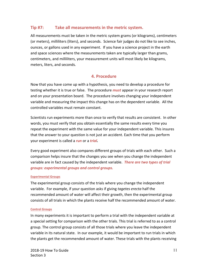## **Tip #7:** Take all measurements in the metric system.

All measurements must be taken in the metric system grams (or kilograms), centimeters (or meters), milliliters (liters), and seconds. Science fair judges do not like to see inches, ounces, or gallons used in any experiment. If you have a science project in the earth and space sciences where the measurements taken are typically larger than grams, centimeters, and milliliters, your measurement units will most likely be kilograms, meters, liters, and seconds.

## **4. Procedure**

Now that you have come up with a hypothesis, you need to develop a procedure for testing whether it is true or false. The procedure *must* appear in your research report and on your presentation board. The procedure involves changing your independent variable and measuring the impact this change has on the dependent variable. All the controlled variables must remain constant.

Scientists run experiments more than once to verify that results are consistent. In other words, you must verify that you obtain essentially the same results every time you repeat the experiment with the same value for your independent variable. This insures that the answer to your question is not just an accident. Each time that you perform your experiment is called a *run* or a *trial.* 

Every good experiment also compares different groups of trials with each other. Such a comparison helps insure that the changes you see when you change the independent variable are in fact caused by the independent variable. **There are two types of trial** *groups: experimental groups and control groups.*

### **Experimental Groups**

The experimental group consists of the trials where you change the independent variable. For example, if your question asks if giving *tagetes erecta* half the recommended amount of water will affect their growth, then the experimental group consists of all trials in which the plants receive half the recommended amount of water.

### **Control Groups**

In many experiments it is important to perform a trial with the independent variable at a special setting for comparison with the other trials. This trial is referred to as a control group. The control group consists of all those trials where you leave the independent variable in its natural state. In our example, it would be important to run trials in which the plants get the recommended amount of water. These trials with the plants receiving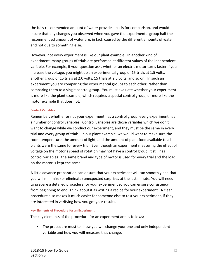the fully recommended amount of water provide a basis for comparison, and would insure that any changes you observed when you gave the experimental group half the recommended amount of water are, in fact, caused by the different amounts of water and not due to something else.

However, not every experiment is like our plant example. In another kind of experiment, many groups of trials are performed at different values of the independent variable. For example, if your question asks whether an electric motor turns faster if you increase the voltage, you might do an experimental group of 15 trials at 1.5 volts, another group of 15 trials at 2.0 volts, 15 trials at 2.5 volts, and so on. In such an experiment you are comparing the experimental groups to each other, rather than comparing them to a single control group. You must evaluate whether your experiment is more like the plant example, which requires a special control group, or more like the motor example that does not.

#### **Control Variables**

Remember, whether or not your experiment has a control group, every experiment has a number of control variables. Control variables are those variables which we don't want to change while we conduct our experiment, and they must be the same in every trial and every group of trials. In our plant example, we would want to make sure the room temperature, the amount of light, and the amount of plant food available to all plants were the same for every trial. Even though an experiment measuring the effect of voltage on the motor's speed of rotation may not have a control group, it still has control variables: the same brand and type of motor is used for every trial and the load on the motor is kept the same.

A little advance preparation can ensure that your experiment will run smoothly and that you will minimize (or eliminate) unexpected surprises at the last minute. You will need to prepare a detailed procedure for your experiment so you can ensure consistency from beginning to end. Think about it as writing a recipe for your experiment. A clear procedure also makes it much easier for someone else to test your experiment, if they are interested in verifying how you got your results.

#### **Key Elements of Procedure for an Experiment**

The key elements of the procedure for an experiment are as follows:

• The procedure must tell how you will change your one and only independent variable and how you will measure that change.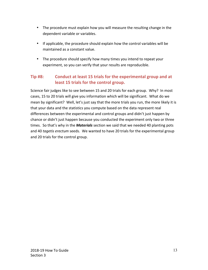- The procedure must explain how you will measure the resulting change in the dependent variable or variables.
- If applicable, the procedure should explain how the control variables will be maintained as a constant value.
- The procedure should specify how many times you intend to repeat your experiment, so you can verify that your results are reproducible.

# **Tip #8:** Conduct at least 15 trials for the experimental group and at **least 15 trials for the control group.**

Science fair judges like to see between 15 and 20 trials for each group. Why? In most cases, 15 to 20 trials will give you information which will be significant. What do we mean by significant? Well, let's just say that the more trials you run, the more likely it is that your data and the statistics you compute based on the data represent real differences between the experimental and control groups and didn't just happen by chance or didn't just happen because you conducted the experiment only two or three times. So that's why in the **Materials** section we said that we needed 40 planting pots and 40 tagetis erectum seeds. We wanted to have 20 trials for the experimental group and 20 trials for the control group.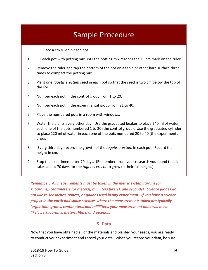# Sample Procedure

- 1. Place a cm ruler in each pot.
- 1. Fill each pot with potting mix until the potting mix reaches the 11 cm mark on the ruler.
- 2. Remove the ruler and tap the bottom of the pot on a table or other hard surface three times to compact the potting mix.
- 3. Plant one *tagetis erectum* seed in each pot so that the seed is two cm below the top of the soil.
- 4. Number each pot in the control group from 1 to 20.
- 5. Number each pot in the experimental group from 21 to 40.
- 6. Place the numbered pots in a room with windows.
- 7. Water the plants every other day. Use the graduated beaker to place 240 ml of water in each one of the pots numbered 1 to 20 (the control group). Use the graduated cylinder to place 120 ml of water in each one of the pots numbered 20 to 40 (the experimental group).
- 8. Every third day, record the growth of the *tagetis erectum* in each pot. Record the height in cm.
- 9. Stop the experiment after 70 days. (Remember, from your research you found that it takes about 70 days for the *tagetes erecta* to grow to their full height.)

*Remember: All measurements must be taken in the metric system (grams (or* kilograms), centimeters (or meters), milliliters (liters), and seconds). Science judges do not like to see inches, ounces, or gallons used in any experiment. If you have a science project in the earth and space sciences where the measurements taken are typically *larger than grams, centimeters, and milliliters, your measurement units will most likely be kilograms, meters, liters, and seconds.*

## **5. Data**

Now that you have obtained all of the materials and planted your seeds, you are ready to conduct your experiment and record your data. When you record your data, be sure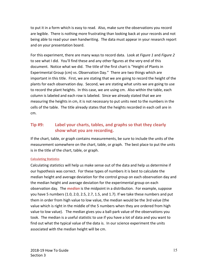to put it in a form which is easy to read. Also, make sure the observations you record are legible. There is nothing more frustrating than looking back at your records and not being able to read your own handwriting. The data must appear in your research report and on your presentation board.

For this experiment, there are many ways to record data. Look at *Figure 1* and *Figure 2* to see what I did. You'll find these and any other figures at the very end of this document. Notice what we did. The title of the first chart is "Height of Plants in Experimental Group (cm) vs. Observation Day." There are two things which are important in this title. First, we are stating that we are going to record the height of the plants for each observation day. Second, we are stating what units we are going to use to record the plant heights. In this case, we are using cm. Also within the table, each column is labeled and each row is labeled. Since we already stated that we are measuring the heights in cm, it is not necessary to put units next to the numbers in the cells of the table. The title already states that the heights recorded in each cell are in cm.

# **Tip #9:** Label your charts, tables, and graphs so that they clearly show what you are recording.

If the chart, table, or graph contains measurements, be sure to include the units of the measurement somewhere on the chart, table, or graph. The best place to put the units is in the title of the chart, table, or graph.

### **Calculating Statistics**

Calculating statistics will help us make sense out of the data and help us determine if our hypothesis was correct. For these types of numbers it is best to calculate the median height and average deviation for the control group on each observation day and the median height and average deviation for the experimental group on each observation day. The *median* is the midpoint in a distribution. For example, suppose you have 5 numbers  $(1.0, 2.0, 2.5, 2.7, 1.5,$  and  $1.7)$ . If we take these numbers and put them in order from high value to low value, the median would be the 3rd value (the value which is right in the middle of the 5 numbers when they are ordered from high value to low value). The median gives you a ball-park value of the observations you took. The median is a useful statistic to use if you have a lot of data and you want to find out what the typical value of the data is. In our science experiment the units associated with the median height will be cm.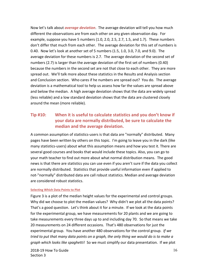Now let's talk about **average deviation**. The average deviation will tell you how much different the observations are from each other on any given observation day. For example, suppose you have 5 numbers  $(1.0, 2.0, 2.5, 2.7, 1.5,$  and  $1.7)$ . These numbers don't differ that much from each other. The average deviation for this set of numbers is 0.40. Now let's look at another set of 5 numbers (1.5, 1.0, 3.0, 7.0, and 9.0). The average deviation for these numbers is 2.7. The average deviation of the second set of numbers  $(2.7)$  is larger than the average deviation of the first set of numbers  $(0.40)$ because the numbers in the second set are not that close to each other. They are more spread out. We'll talk more about these statistics in the Results and Analysis section and Conclusion section. Who cares if he numbers are spread out? You do. The average deviation is a mathematical tool to help us assess how far the values are spread above and below the median. A high average deviation shows that the data are widely spread (less reliable) and a low standard deviation shows that the data are clustered closely around the mean (more reliable).

# **Tip #10:** When it is useful to calculate statistics and you don't know if **your data are normally distributed, be sure to calculate the median and the average deviation.**

A common assumption of statistics-users is that data are "normally" distributed. Many pages have been written by others on this topic. I'm going to leave you in the dark (like many statistics-users) about what this assumption means and how you test it. There are several good courses and books that would include these topics. Also, you can go to your math teacher to find out more about what normal distribution means. The good news is that there are statistics you can use even if you aren't sure if the data you collect are normally distributed. Statistics that provide useful information even if applied to not-"normally" distributed data are call robust statistics. Median and average deviation are considered robust statistics.

### **Selecting Which Data Points to Plot**

Figure 3 is a plot of the median height values for the experimental and control groups. Why did we choose to plot the median values? Why didn't we plot all the data points? That's a good question. Let's think about it for a minute. If we look at the data points for the experimental group, we have measurements for 20 plants and we are going to take measurements every three days up to and including day 70. So that means we take 20 measurements on 24 different occasions. That's 480 observations for just the experimental group. You have another 480 observations for the control group. If we *tried* to put that many data points on a graph, the only thing we would do is to make a *graph which looks like spaghetti!* So we must simplify our data presentation. If we plot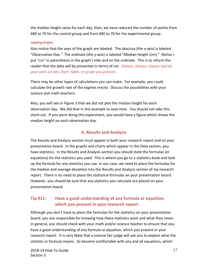the median height value for each day, then, we have reduced the number of points from 480 to 70 for the control group and from 480 to 70 for the experimental group.

### **Labeling Graphs**

Also notice that the axes of the graph are labeled. The abscissa (the x-axis) is labeled "Observation Day." The ordinate (the y-axis) is labeled "Median Height (cm)." Notice I put "cm" in parenthesis in the graph's title and on the ordinate. This is to inform the reader that the data will be presented in terms of cm. *Always, always, always specify* your units on any chart, table, or graph you present.

There may be other types of calculations you can make. For example, you could calculate the growth rate of the *tagetes erecta*. Discuss the possibilities with your science and math teachers.

Also, you will see in *Figure* 3 that we did not plot the median height for each observation day. We did that in this example to save time. You should not take this short-cut. If you were doing this experiment, you would have a figure which shows the median height on each observation day.

### **6. Results and Analysis**

The Results and Analysis section must appear in both your research report and on your presentation board. In the graphs and charts which appear in the Data section, you have statistics. In the Results and Analysis section you should state the formulas (or equations) for the statistics you used. This is where you go to a statistics book and look up the formula for any statistics you use. In our case, we need to place the formulas for the median and average deviation into the Results and Analysis section of my research report. There is no need to place the statistical formulas on your presentation board. However, you should be sure that any statistics you calculate are placed on your presentation board.

# **Tip #11:** Have a good understanding of any formula or equation, **which you present in your research report.**

Although you don't have to place the formulas for the statistics on your presentation board, you are responsible for knowing how these statistics work and what they mean. In general, you should check with your math and/or science teacher to ensure that you have a good understanding of any formula or equation, which you present in your research report. It is very likely that a science fair judge will ask you to explain what the statistic or formula means. So become comfortable with any and all equations, which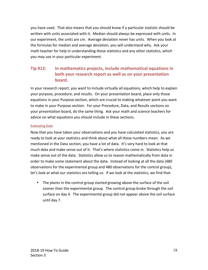you have used. That also means that you should know if a particular statistic should be written with units associated with it. Median should always be expressed with units. In our experiment, the units are cm. Average deviation never has units. When you look at the formulas for median and average deviation, you will understand why. Ask your math teacher for help in understanding these statistics and any other statistics, which you may use in your particular experiment.

# **Tip #12:** In mathematics projects, include mathematical equations in **both your research report as well as on your presentation board.**

In your research report, you want to include virtually all equations, which help to explain your purpose, procedure, and results. On your presentation board, place only those equations in your Purpose section, which are crucial to making whatever point you want to make in your Purpose section. For your Procedure, Data, and Results sections on your presentation board, do the same thing. Ask your math and science teachers for advice on what equations you should include in these sections.

### **Evaluating Data**

Now that you have taken your observations and you have calculated statistics, you are ready to look at your statistics and think about what all these numbers mean. As we mentioned in the Data section, you have a lot of data. It's very hard to look at that much data and make sense out of it. That's where statistics come in. Statistics help us make sense out of the data. Statistics allow us to reason mathematically from data in order to make some statement about the data. Instead of looking at all the data (480) observations for the experimental group and 480 observations for the control group), let's look at what our statistics are telling us. If we look at the statistics, we find that:

• The plants in the control group started growing above the surface of the soil sooner than the experimental group. The control group broke through the soil surface on day 4. The experimental group did not appear above the soil surface until day 7.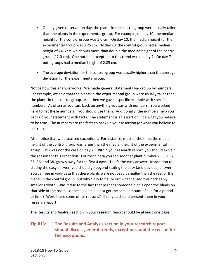- On any given observation day, the plants in the control group were usually taller than the plants in the experimental group. For example, on day 10, the median height for the control group was 5.0 cm. On day 10, the median height for the experimental group was  $3.25$  cm. By day 70, the control group had a median height of 24.6 cm which was more than double the median height of the control group  $(12.0 \text{ cm})$ . One notable exception to this trend was on day 7. On day 7 both groups had a median height of 2.85 cm.
- The average deviation for the control group was usually higher than the average deviation for the experimental group.

Notice how this analysis works. We made general statements backed up by numbers. For example, we said that the plants in the experimental group were usually taller than the plants in the control group. And then we gave a specific example with specific numbers. As often as you can, back up anything you say with numbers. You worked hard to get these numbers... you should use them. Additionally, the numbers help you back up your statement with facts. The statement is an assertion. It's what you believe to be true. The numbers are the facts to back up your assertion (or what you believe to be true).

Also notice that we discussed exceptions. For instance, most of the time, the median height of the control group was larger than the median height of the experimental group. This was not the case on day 7. Within your research report, you should explain the reason for this exception. For these data you can see that plant number 26, 30, 32, 35, 36, and 38, grew slowly for the first 4 days. That's the easy answer. In addition to stating the easy answer, you should go beyond stating the easy (and obvious) answer. You can see in your data that these plants were noticeably smaller than the rest of the plants in the control group, but why? Try to figure out what caused this noticeably smaller growth. Was it due to the fact that perhaps someone didn't open the blinds on that side of the room, so these plants did not get the same amount of sun for a period of time? Were there some other reasons? If so, you should present them in your research report.

The Results and Analysis section in your research report should be at least one page.

# **Tip #13:** The Results and Analysis section in your research report should discuss general trends, exceptions, and the reason for the exceptions.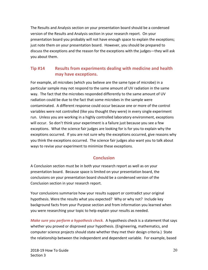The Results and Analysis section on your presentation board should be a condensed version of the Results and Analysis section in your research report. On your presentation board you probably will not have enough space to explain the exceptions; just note them on your presentation board. However, you should be prepared to discuss the exceptions and the reason for the exceptions with the judges—they will ask you about them.

# **Tip #14 Results** from experiments dealing with medicine and health may have exceptions.

For example, all microbes (which you believe are the same type of microbe) in a particular sample may not respond to the same amount of UV radiation in the same way. The fact that the microbes responded differently to the same amount of UV radiation could be due to the fact that some microbes in the sample were contaminated. A different response could occur because one or more of the control variables were not controlled (like you thought they were) in every single experiment run. Unless you are working in a highly controlled laboratory environment, exceptions will occur. So don't think your experiment is a failure just because you see a few exceptions. What the science fair judges are looking for is for you to explain why the exceptions occurred. If you are not sure why the exceptions occurred, give reasons why you think the exceptions occurred. The science fair judges also want you to talk about ways to revise your experiment to minimize these exceptions.

# **Conclusion**

A Conclusion section must be in both your research report as well as on your presentation board. Because space is limited on your presentation board, the conclusions on your presentation board should be a condensed version of the Conclusion section in your research report.

Your conclusions summarize how your results support or contradict your original hypothesis. Were the results what you expected? Why or why not? Include key background facts from your Purpose section and from information you learned when you were researching your topic to help explain your results as needed.

*Make sure you perform a hypothesis check.* A hypothesis check is a statement that says whether you proved or disproved your hypothesis. (Engineering, mathematics, and computer science projects should state whether they met their design criteria.) State the relationship between the independent and dependent variable. For example, based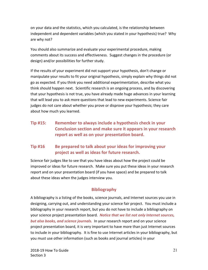on your data and the statistics, which you calculated, is the relationship between independent and dependent variables (which you stated in your hypothesis) true? Why are why not?

You should also summarize and evaluate your experimental procedure, making comments about its success and effectiveness. Suggest changes in the procedure (or design) and/or possibilities for further study.

If the results of your experiment did not support your hypothesis, don't change or manipulate your results to fit your original hypothesis, simply explain why things did not go as expected. If you think you need additional experimentation, describe what you think should happen next. Scientific research is an ongoing process, and by discovering that your hypothesis is not true, you have already made huge advances in your learning that will lead you to ask more questions that lead to new experiments. Science fair judges do not care about whether you prove or disprove your hypothesis; they care about how much you learned.

**Tip #15:** Remember to always include a hypothesis check in your **Conclusion section and make sure it appears in your research** report as well as on your presentation board.

# **Tip #16 Be prepared to talk about your ideas for improving your** project as well as ideas for future research.

Science fair judges like to see that you have ideas about how the project could be improved or ideas for future research. Make sure you put these ideas in your research report and on your presentation board (if you have space) and be prepared to talk about these ideas when the judges interview you.

# **Bibliography**

A bibliography is a listing of the books, science journals, and Internet sources you use in designing, carrying out, and understanding your science fair project. You must include a bibliography in your research report, but you do not have to include a bibliography on your science project presentation board. Notice that we list not only Internet sources, **but also books, and science journals.** In your research report and on your science project presentation board, it is very important to have more than just Internet sources to include in your bibliography. It is fine to use Internet articles in your bibliography, but you must use other information (such as books and journal articles) in your